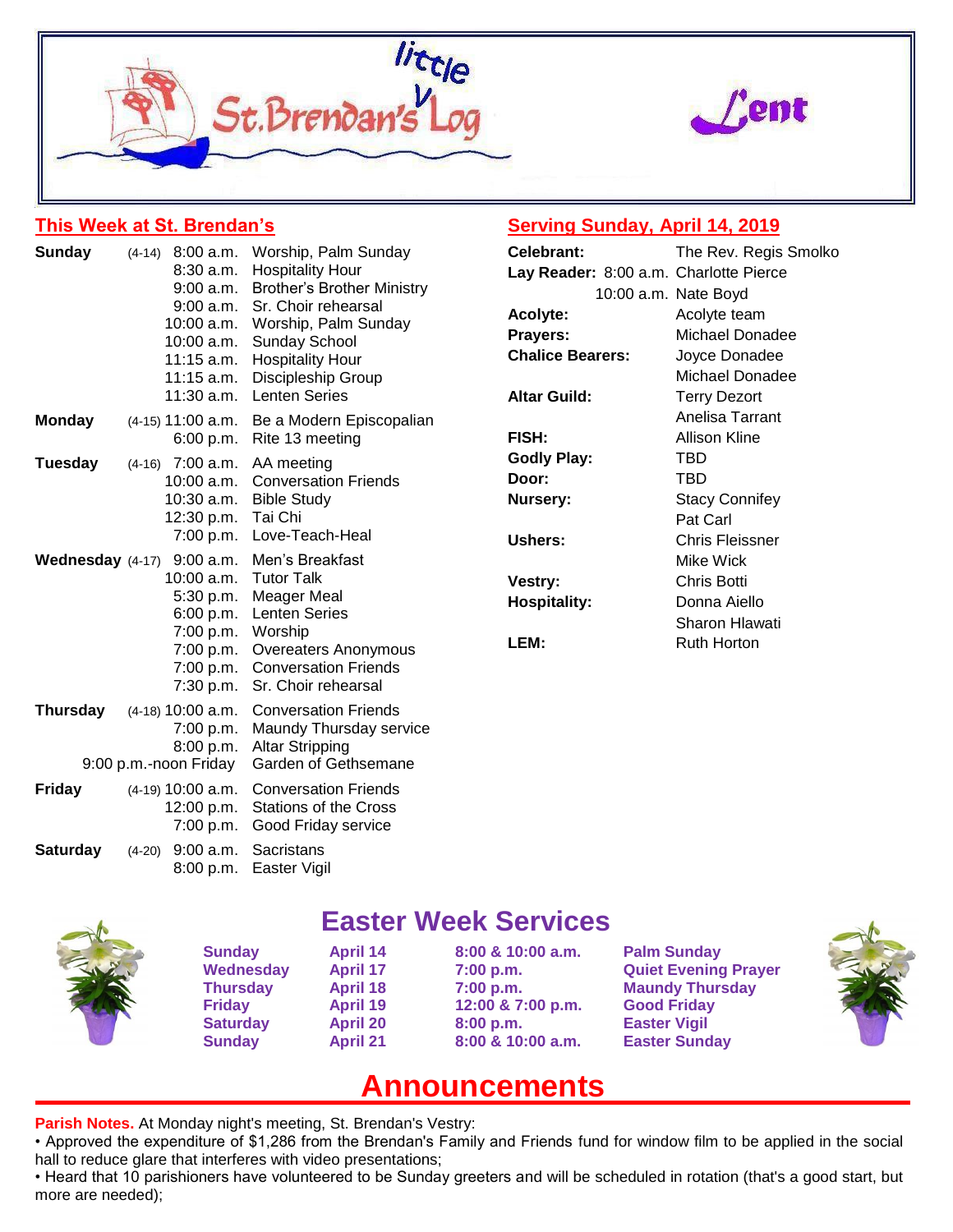



# **This Week at St. Brendan's**

# **Serving Sunday, April 14, 2019**

| Sunday                              |          | 8:30 a.m.<br>$9:00$ a.m.<br>$9:00$ a.m.<br>$10:00$ a.m. | (4-14) 8:00 a.m. Worship, Palm Sunday<br><b>Hospitality Hour</b><br><b>Brother's Brother Ministry</b><br>Sr. Choir rehearsal<br>Worship, Palm Sunday<br>10:00 a.m. Sunday School<br>11:15 a.m. Hospitality Hour<br>11:15 a.m. Discipleship Group | Celebrant:<br>Lay Reader: 8:00 a.m. Charlotte Pierce<br>Acolyte:<br>Prayers:<br><b>Chalice Bearers:</b> | The Rev. Regis Smolko<br>10:00 a.m. Nate Boyd<br>Acolyte team<br><b>Michael Donadee</b><br>Joyce Donadee<br>Michael Donadee |
|-------------------------------------|----------|---------------------------------------------------------|--------------------------------------------------------------------------------------------------------------------------------------------------------------------------------------------------------------------------------------------------|---------------------------------------------------------------------------------------------------------|-----------------------------------------------------------------------------------------------------------------------------|
|                                     |          |                                                         | 11:30 a.m. Lenten Series                                                                                                                                                                                                                         | <b>Altar Guild:</b>                                                                                     | <b>Terry Dezort</b><br>Anelisa Tarrant                                                                                      |
| <b>Monday</b>                       |          |                                                         | (4-15) 11:00 a.m. Be a Modern Episcopalian<br>6:00 p.m. Rite 13 meeting                                                                                                                                                                          | <b>FISH:</b>                                                                                            | <b>Allison Kline</b>                                                                                                        |
| <b>Tuesday</b>                      |          | (4-16) 7:00 a.m. AA meeting<br>10:00 a.m.               |                                                                                                                                                                                                                                                  | <b>Godly Play:</b>                                                                                      | <b>TBD</b>                                                                                                                  |
|                                     |          |                                                         | <b>Conversation Friends</b>                                                                                                                                                                                                                      | Door:                                                                                                   | <b>TBD</b>                                                                                                                  |
|                                     |          | 10:30 a.m.                                              | <b>Bible Study</b>                                                                                                                                                                                                                               | Nursery:                                                                                                | <b>Stacy Connifey</b>                                                                                                       |
|                                     |          | 12:30 p.m.                                              | Tai Chi                                                                                                                                                                                                                                          |                                                                                                         | Pat Carl                                                                                                                    |
|                                     |          |                                                         | 7:00 p.m. Love-Teach-Heal                                                                                                                                                                                                                        | Ushers:                                                                                                 | <b>Chris Fleissner</b>                                                                                                      |
| <b>Wednesday</b> $(4-17)$ 9:00 a.m. |          | $10:00$ a.m.<br>5:30 p.m.<br>7:00 p.m. Worship          | Men's Breakfast<br><b>Tutor Talk</b><br><b>Meager Meal</b><br>6:00 p.m. Lenten Series<br>7:00 p.m. Overeaters Anonymous<br>7:00 p.m. Conversation Friends<br>7:30 p.m. Sr. Choir rehearsal                                                       | Vestry:<br><b>Hospitality:</b>                                                                          | Mike Wick<br>Chris Botti<br>Donna Aiello                                                                                    |
|                                     |          |                                                         |                                                                                                                                                                                                                                                  |                                                                                                         | Sharon Hlawati                                                                                                              |
|                                     |          |                                                         |                                                                                                                                                                                                                                                  | LEM:                                                                                                    | Ruth Horton                                                                                                                 |
| <b>Thursday</b>                     |          | $(4-18)$ 10:00 a.m.<br>7:00 p.m.<br>8:00 p.m.           | <b>Conversation Friends</b><br>Maundy Thursday service<br><b>Altar Stripping</b>                                                                                                                                                                 |                                                                                                         |                                                                                                                             |
| 9:00 p.m.-noon Friday               |          |                                                         | Garden of Gethsemane                                                                                                                                                                                                                             |                                                                                                         |                                                                                                                             |
| <b>Friday</b>                       |          | $(4-19)$ 10:00 a.m.<br>12:00 p.m.<br>7:00 p.m.          | <b>Conversation Friends</b><br><b>Stations of the Cross</b><br>Good Friday service                                                                                                                                                               |                                                                                                         |                                                                                                                             |
| <b>Saturday</b>                     | $(4-20)$ | $9:00$ a.m.<br>8:00 p.m.                                | Sacristans<br>Easter Vigil                                                                                                                                                                                                                       |                                                                                                         |                                                                                                                             |



**Easter Week Services**

**Sunday April 14 8:00 & 10:00 a.m. Palm Sunday Friday April 19 12:00 & 7:00 p.m. Good Friday Saturday April 20 8:00 p.m. Easter Vigil Sunday April 21 8:00 & 10:00 a.m.** 

**Wednesday April 17 7:00 p.m. Quiet Evening Prayer Thursday April 18 7:00 p.m. Maundy Thursday**



# **Announcements**

**Parish Notes.** At Monday night's meeting, St. Brendan's Vestry:

• Approved the expenditure of \$1,286 from the Brendan's Family and Friends fund for window film to be applied in the social hall to reduce glare that interferes with video presentations;

• Heard that 10 parishioners have volunteered to be Sunday greeters and will be scheduled in rotation (that's a good start, but more are needed);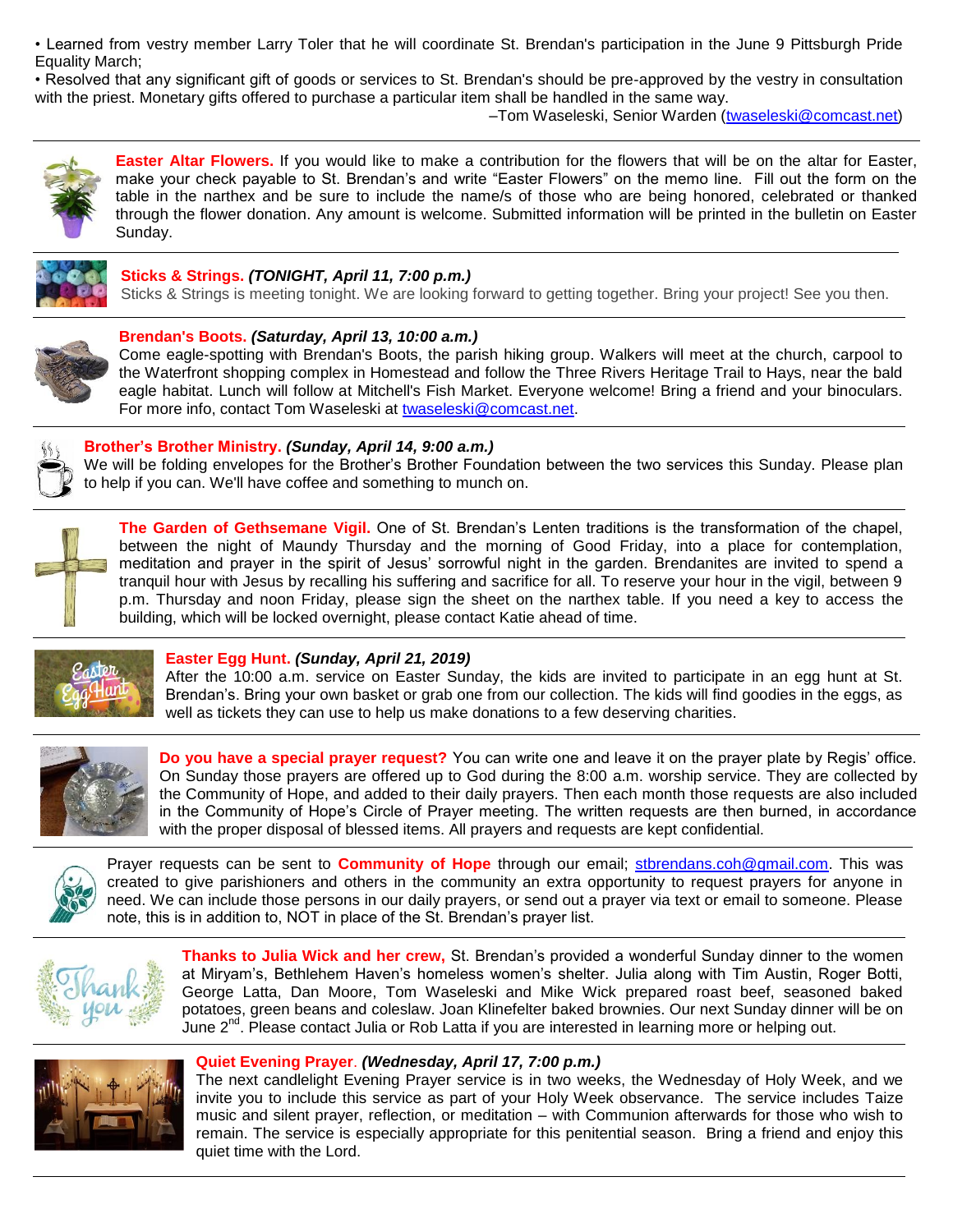• Learned from vestry member Larry Toler that he will coordinate St. Brendan's participation in the June 9 Pittsburgh Pride Equality March;

• Resolved that any significant gift of goods or services to St. Brendan's should be pre-approved by the vestry in consultation with the priest. Monetary gifts offered to purchase a particular item shall be handled in the same way.

–Tom Waseleski, Senior Warden [\(twaseleski@comcast.net\)](mailto:twaseleski@comcast.net)



**Easter Altar Flowers.** If you would like to make a contribution for the flowers that will be on the altar for Easter, make your check payable to St. Brendan's and write "Easter Flowers" on the memo line. Fill out the form on the table in the narthex and be sure to include the name/s of those who are being honored, celebrated or thanked through the flower donation. Any amount is welcome. Submitted information will be printed in the bulletin on Easter Sunday.



#### **Sticks & Strings.** *(TONIGHT, April 11, 7:00 p.m.)*

Sticks & Strings is meeting tonight. We are looking forward to getting together. Bring your project! See you then.



#### **Brendan's Boots.** *(Saturday, April 13, 10:00 a.m.)*

Come eagle-spotting with Brendan's Boots, the parish hiking group. Walkers will meet at the church, carpool to the Waterfront shopping complex in Homestead and follow the Three Rivers Heritage Trail to Hays, near the bald eagle habitat. Lunch will follow at Mitchell's Fish Market. Everyone welcome! Bring a friend and your binoculars. For more info, contact Tom Waseleski at [twaseleski@comcast.net.](mailto:twaseleski@comcast.net)



#### **Brother's Brother Ministry.** *(Sunday, April 14, 9:00 a.m.)*

We will be folding envelopes for the Brother's Brother Foundation between the two services this Sunday. Please plan to help if you can. We'll have coffee and something to munch on.



**The Garden of Gethsemane Vigil.** One of St. Brendan's Lenten traditions is the transformation of the chapel, between the night of Maundy Thursday and the morning of Good Friday, into a place for contemplation, meditation and prayer in the spirit of Jesus' sorrowful night in the garden. Brendanites are invited to spend a tranquil hour with Jesus by recalling his suffering and sacrifice for all. To reserve your hour in the vigil, between 9 p.m. Thursday and noon Friday, please sign the sheet on the narthex table. If you need a key to access the building, which will be locked overnight, please contact Katie ahead of time.



#### **Easter Egg Hunt.** *(Sunday, April 21, 2019)*

After the 10:00 a.m. service on Easter Sunday, the kids are invited to participate in an egg hunt at St. Brendan's. Bring your own basket or grab one from our collection. The kids will find goodies in the eggs, as well as tickets they can use to help us make donations to a few deserving charities.



**Do you have a special prayer request?** You can write one and leave it on the prayer plate by Regis' office. On Sunday those prayers are offered up to God during the 8:00 a.m. worship service. They are collected by the Community of Hope, and added to their daily prayers. Then each month those requests are also included in the Community of Hope's Circle of Prayer meeting. The written requests are then burned, in accordance with the proper disposal of blessed items. All prayers and requests are kept confidential.



Prayer requests can be sent to **Community of Hope** through our email; [stbrendans.coh@gmail.com.](mailto:stbrendans.coh@gmail.com) This was created to give parishioners and others in the community an extra opportunity to request prayers for anyone in need. We can include those persons in our daily prayers, or send out a prayer via text or email to someone. Please note, this is in addition to, NOT in place of the St. Brendan's prayer list.



**Thanks to Julia Wick and her crew,** St. Brendan's provided a wonderful Sunday dinner to the women at Miryam's, Bethlehem Haven's homeless women's shelter. Julia along with Tim Austin, Roger Botti, George Latta, Dan Moore, Tom Waseleski and Mike Wick prepared roast beef, seasoned baked potatoes, green beans and coleslaw. Joan Klinefelter baked brownies. Our next Sunday dinner will be on June 2<sup>nd</sup>. Please contact Julia or Rob Latta if you are interested in learning more or helping out.



#### **Quiet Evening Prayer**. *(Wednesday, April 17, 7:00 p.m.)*

The next candlelight Evening Prayer service is in two weeks, the Wednesday of Holy Week, and we invite you to include this service as part of your Holy Week observance. The service includes Taize music and silent prayer, reflection, or meditation – with Communion afterwards for those who wish to remain. The service is especially appropriate for this penitential season. Bring a friend and enjoy this quiet time with the Lord.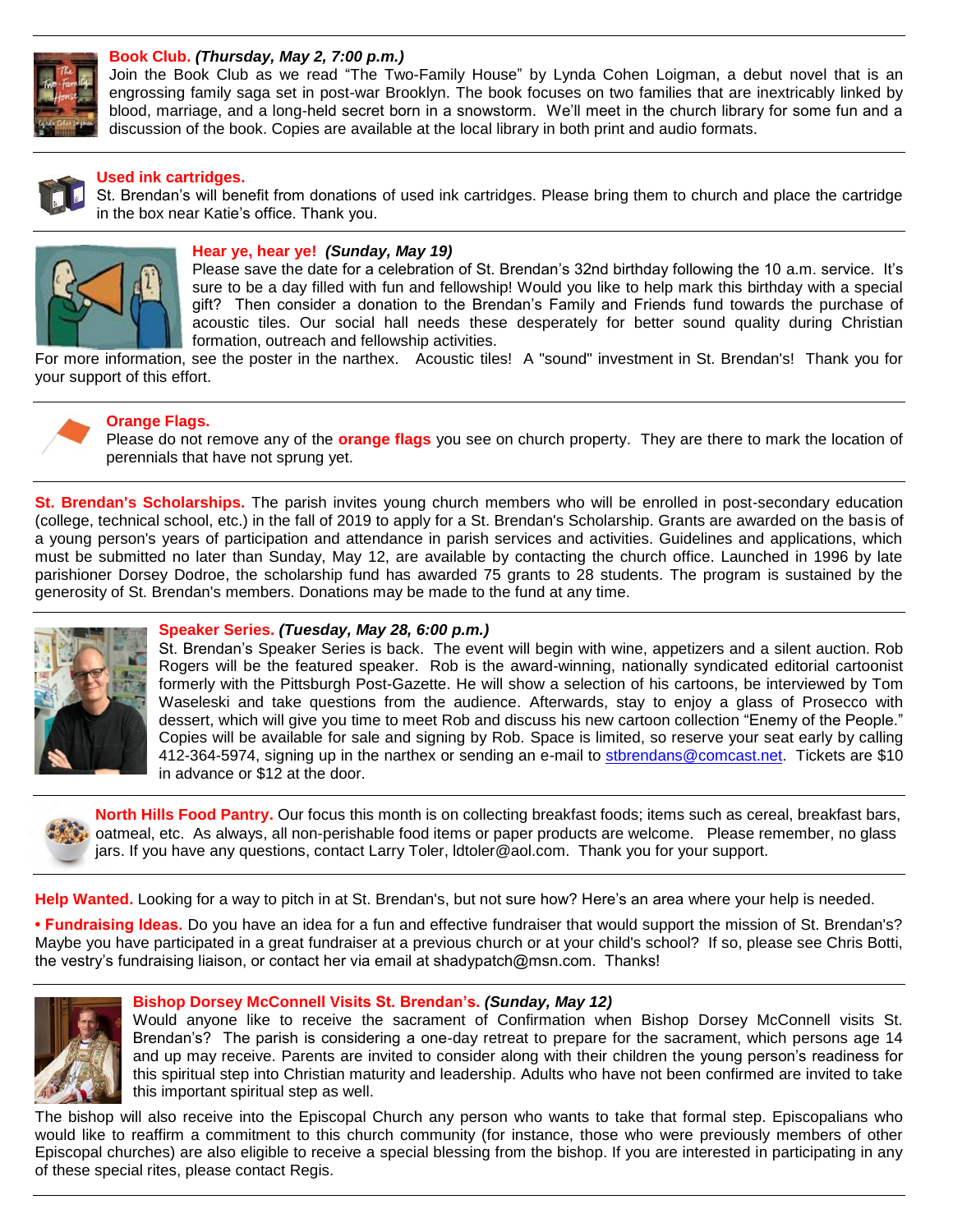

### **Book Club.** *(Thursday, May 2, 7:00 p.m.)*

Join the Book Club as we read "The Two-Family House" by Lynda Cohen Loigman, a debut novel that is an engrossing family saga set in post-war Brooklyn. The book focuses on two families that are inextricably linked by blood, marriage, and a long-held secret born in a snowstorm. We'll meet in the church library for some fun and a discussion of the book. Copies are available at the local library in both print and audio formats.



#### **Used ink cartridges.**

St. Brendan's will benefit from donations of used ink cartridges. Please bring them to church and place the cartridge in the box near Katie's office. Thank you.



#### **Hear ye, hear ye!** *(Sunday, May 19)*

Please save the date for a celebration of St. Brendan's 32nd birthday following the 10 a.m. service. It's sure to be a day filled with fun and fellowship! Would you like to help mark this birthday with a special gift? Then consider a donation to the Brendan's Family and Friends fund towards the purchase of acoustic tiles. Our social hall needs these desperately for better sound quality during Christian formation, outreach and fellowship activities.

For more information, see the poster in the narthex. Acoustic tiles! A "sound" investment in St. Brendan's! Thank you for your support of this effort.



#### **Orange Flags.**

Please do not remove any of the **orange flags** you see on church property. They are there to mark the location of perennials that have not sprung yet.

**St. Brendan's Scholarships.** The parish invites young church members who will be enrolled in post-secondary education (college, technical school, etc.) in the fall of 2019 to apply for a St. Brendan's Scholarship. Grants are awarded on the basis of a young person's years of participation and attendance in parish services and activities. Guidelines and applications, which must be submitted no later than Sunday, May 12, are available by contacting the church office. Launched in 1996 by late parishioner Dorsey Dodroe, the scholarship fund has awarded 75 grants to 28 students. The program is sustained by the generosity of St. Brendan's members. Donations may be made to the fund at any time.



#### **Speaker Series.** *(Tuesday, May 28, 6:00 p.m.)*

St. Brendan's Speaker Series is back. The event will begin with wine, appetizers and a silent auction. Rob Rogers will be the featured speaker. Rob is the award-winning, nationally syndicated editorial cartoonist formerly with the Pittsburgh Post-Gazette. He will show a selection of his cartoons, be interviewed by Tom Waseleski and take questions from the audience. Afterwards, stay to enjoy a glass of Prosecco with dessert, which will give you time to meet Rob and discuss his new cartoon collection "Enemy of the People." Copies will be available for sale and signing by Rob. Space is limited, so reserve your seat early by calling 412-364-5974, signing up in the narthex or sending an e-mail to [stbrendans@comcast.net.](mailto:stbrendans@comcast.net) Tickets are \$10 in advance or \$12 at the door.

 **North Hills Food Pantry.** Our focus this month is on collecting breakfast foods; items such as cereal, breakfast bars, oatmeal, etc. As always, all non-perishable food items or paper products are welcome. Please remember, no glass jars. If you have any questions, contact Larry Toler, ldtoler@aol.com. Thank you for your support.

**Help Wanted.** Looking for a way to pitch in at St. Brendan's, but not sure how? Here's an area where your help is needed.

**• Fundraising Ideas.** Do you have an idea for a fun and effective fundraiser that would support the mission of St. Brendan's? Maybe you have participated in a great fundraiser at a previous church or at your child's school? If so, please see Chris Botti, the vestry's fundraising liaison, or contact her via email at shadypatch@msn.com. Thanks!



### **Bishop Dorsey McConnell Visits St. Brendan's.** *(Sunday, May 12)*

Would anyone like to receive the sacrament of Confirmation when Bishop Dorsey McConnell visits St. Brendan's? The parish is considering a one-day retreat to prepare for the sacrament, which persons age 14 and up may receive. Parents are invited to consider along with their children the young person's readiness for this spiritual step into Christian maturity and leadership. Adults who have not been confirmed are invited to take this important spiritual step as well.

The bishop will also receive into the Episcopal Church any person who wants to take that formal step. Episcopalians who would like to reaffirm a commitment to this church community (for instance, those who were previously members of other Episcopal churches) are also eligible to receive a special blessing from the bishop. If you are interested in participating in any of these special rites, please contact Regis.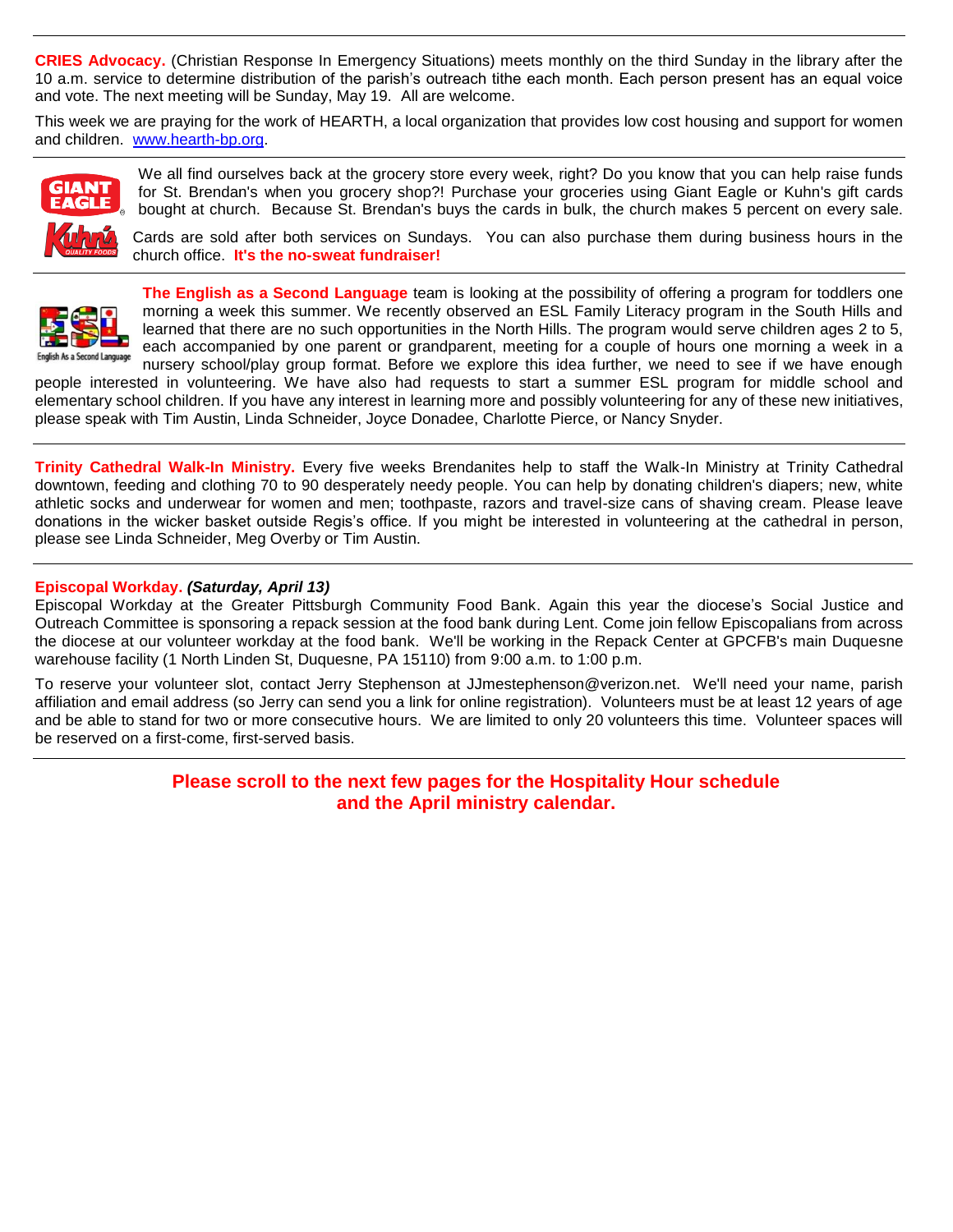**CRIES Advocacy.** (Christian Response In Emergency Situations) meets monthly on the third Sunday in the library after the 10 a.m. service to determine distribution of the parish's outreach tithe each month. Each person present has an equal voice and vote. The next meeting will be Sunday, May 19. All are welcome.

This week we are praying for the work of HEARTH, a local organization that provides low cost housing and support for women and children. [www.hearth-bp.org.](http://www.hearth-bp.org/)



We all find ourselves back at the grocery store every week, right? Do you know that you can help raise funds for St. Brendan's when you grocery shop?! Purchase your groceries using Giant Eagle or Kuhn's gift cards bought at church. Because St. Brendan's buys the cards in bulk, the church makes 5 percent on every sale.

Cards are sold after both services on Sundays. You can also purchase them during business hours in the church office. **It's the no-sweat fundraiser!**



**The English as a Second Language** team is looking at the possibility of offering a program for toddlers one morning a week this summer. We recently observed an ESL Family Literacy program in the South Hills and learned that there are no such opportunities in the North Hills. The program would serve children ages 2 to 5, each accompanied by one parent or grandparent, meeting for a couple of hours one morning a week in a nursery school/play group format. Before we explore this idea further, we need to see if we have enough

people interested in volunteering. We have also had requests to start a summer ESL program for middle school and elementary school children. If you have any interest in learning more and possibly volunteering for any of these new initiatives, please speak with Tim Austin, Linda Schneider, Joyce Donadee, Charlotte Pierce, or Nancy Snyder.

**Trinity Cathedral Walk-In Ministry.** Every five weeks Brendanites help to staff the Walk-In Ministry at Trinity Cathedral downtown, feeding and clothing 70 to 90 desperately needy people. You can help by donating children's diapers; new, white athletic socks and underwear for women and men; toothpaste, razors and travel-size cans of shaving cream. Please leave donations in the wicker basket outside Regis's office. If you might be interested in volunteering at the cathedral in person, please see Linda Schneider, Meg Overby or Tim Austin.

#### **Episcopal Workday.** *(Saturday, April 13)*

Episcopal Workday at the Greater Pittsburgh Community Food Bank. Again this year the diocese's Social Justice and Outreach Committee is sponsoring a repack session at the food bank during Lent. Come join fellow Episcopalians from across the diocese at our volunteer workday at the food bank. We'll be working in the Repack Center at GPCFB's main Duquesne warehouse facility (1 North Linden St, Duquesne, PA 15110) from 9:00 a.m. to 1:00 p.m.

To reserve your volunteer slot, contact Jerry Stephenson at JJmestephenson@verizon.net. We'll need your name, parish affiliation and email address (so Jerry can send you a link for online registration). Volunteers must be at least 12 years of age and be able to stand for two or more consecutive hours. We are limited to only 20 volunteers this time. Volunteer spaces will be reserved on a first-come, first-served basis.

# **Please scroll to the next few pages for the Hospitality Hour schedule and the April ministry calendar.**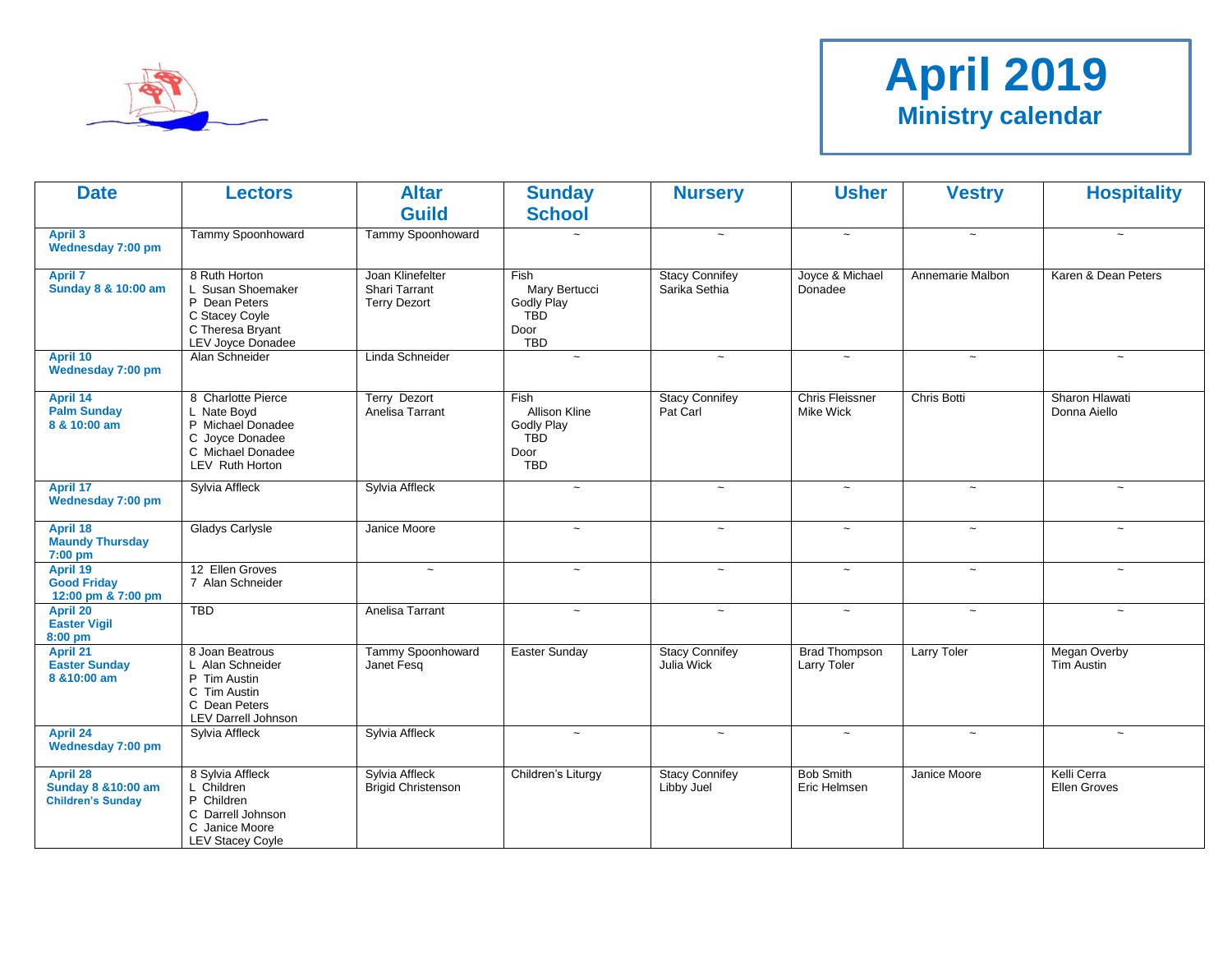

# **April 2019 Ministry calendar**

| <b>Date</b>                                                            | <b>Lectors</b>                                                                                                    | <b>Altar</b>                                                    | <b>Sunday</b>                                                           | <b>Nursery</b>                         | <b>Usher</b>                               | <b>Vestry</b>             | <b>Hospitality</b>                       |
|------------------------------------------------------------------------|-------------------------------------------------------------------------------------------------------------------|-----------------------------------------------------------------|-------------------------------------------------------------------------|----------------------------------------|--------------------------------------------|---------------------------|------------------------------------------|
|                                                                        |                                                                                                                   | <b>Guild</b>                                                    | <b>School</b>                                                           |                                        |                                            |                           |                                          |
| <b>April 3</b><br>Wednesday 7:00 pm                                    | Tammy Spoonhoward                                                                                                 | Tammy Spoonhoward                                               | $\tilde{}$                                                              | $\widetilde{\phantom{m}}$              | $\widetilde{\phantom{m}}$                  | $\widetilde{\phantom{m}}$ | $\thicksim$                              |
| <b>April 7</b><br>Sunday 8 & 10:00 am                                  | 8 Ruth Horton<br>L Susan Shoemaker<br>P Dean Peters<br>C Stacey Coyle<br>C Theresa Bryant<br>LEV Joyce Donadee    | Joan Klinefelter<br><b>Shari Tarrant</b><br><b>Terry Dezort</b> | Fish<br>Mary Bertucci<br>Godly Play<br><b>TBD</b><br>Door<br><b>TBD</b> | <b>Stacy Connifey</b><br>Sarika Sethia | Joyce & Michael<br>Donadee                 | Annemarie Malbon          | Karen & Dean Peters                      |
| April 10<br>Wednesday 7:00 pm                                          | Alan Schneider                                                                                                    | Linda Schneider                                                 | $\tilde{}$                                                              | $\widetilde{\phantom{m}}$              | $\widetilde{\phantom{m}}$                  | $\thicksim$               | $\tilde{\phantom{a}}$                    |
| <b>April 14</b><br><b>Palm Sunday</b><br>8 & 10:00 am                  | 8 Charlotte Pierce<br>L Nate Boyd<br>P Michael Donadee<br>C Joyce Donadee<br>C Michael Donadee<br>LEV Ruth Horton | <b>Terry Dezort</b><br>Anelisa Tarrant                          | Fish<br>Allison Kline<br>Godly Play<br><b>TBD</b><br>Door<br><b>TBD</b> | <b>Stacy Connifey</b><br>Pat Carl      | <b>Chris Fleissner</b><br><b>Mike Wick</b> | <b>Chris Botti</b>        | Sharon Hlawati<br>Donna Aiello           |
| April 17<br>Wednesday 7:00 pm                                          | Sylvia Affleck                                                                                                    | Sylvia Affleck                                                  | $\thicksim$                                                             | $\widetilde{\phantom{m}}$              | $\sim$                                     | $\sim$                    | $\thicksim$                              |
| April 18<br><b>Maundy Thursday</b><br>7:00 pm                          | <b>Gladys Carlysle</b>                                                                                            | Janice Moore                                                    | $\thicksim$                                                             | $\sim$                                 | $\sim$                                     | $\thicksim$               | $\tilde{\phantom{a}}$                    |
| April 19<br><b>Good Friday</b><br>12:00 pm & 7:00 pm                   | 12 Ellen Groves<br>7 Alan Schneider                                                                               | $\sim$                                                          | $\tilde{\phantom{a}}$                                                   | $\tilde{}$                             | $\tilde{}$                                 | $\thicksim$               | $\tilde{\phantom{a}}$                    |
| <b>April 20</b><br><b>Easter Vigil</b><br>8:00 pm                      | <b>TBD</b>                                                                                                        | Anelisa Tarrant                                                 | $\thicksim$                                                             | $\widetilde{\phantom{m}}$              | $\widetilde{\phantom{m}}$                  | $\thicksim$               | $\tilde{\phantom{a}}$                    |
| <b>April 21</b><br><b>Easter Sunday</b><br>8 & 10:00 am                | 8 Joan Beatrous<br>L Alan Schneider<br>P Tim Austin<br>C Tim Austin<br>C Dean Peters<br>LEV Darrell Johnson       | Tammy Spoonhoward<br>Janet Fesq                                 | Easter Sunday                                                           | <b>Stacy Connifey</b><br>Julia Wick    | <b>Brad Thompson</b><br>Larry Toler        | <b>Larry Toler</b>        | <b>Megan Overby</b><br><b>Tim Austin</b> |
| April 24<br>Wednesday 7:00 pm                                          | Sylvia Affleck                                                                                                    | Sylvia Affleck                                                  | $\thicksim$                                                             | $\widetilde{\phantom{m}}$              | $\tilde{\phantom{a}}$                      | $\thicksim$               | $\thicksim$                              |
| April 28<br><b>Sunday 8 &amp; 10:00 am</b><br><b>Children's Sunday</b> | 8 Sylvia Affleck<br>L Children<br>P Children<br>C Darrell Johnson<br>C Janice Moore<br><b>LEV Stacey Coyle</b>    | Sylvia Affleck<br><b>Brigid Christenson</b>                     | Children's Liturgy                                                      | <b>Stacy Connifey</b><br>Libby Juel    | <b>Bob Smith</b><br>Eric Helmsen           | Janice Moore              | Kelli Cerra<br><b>Ellen Groves</b>       |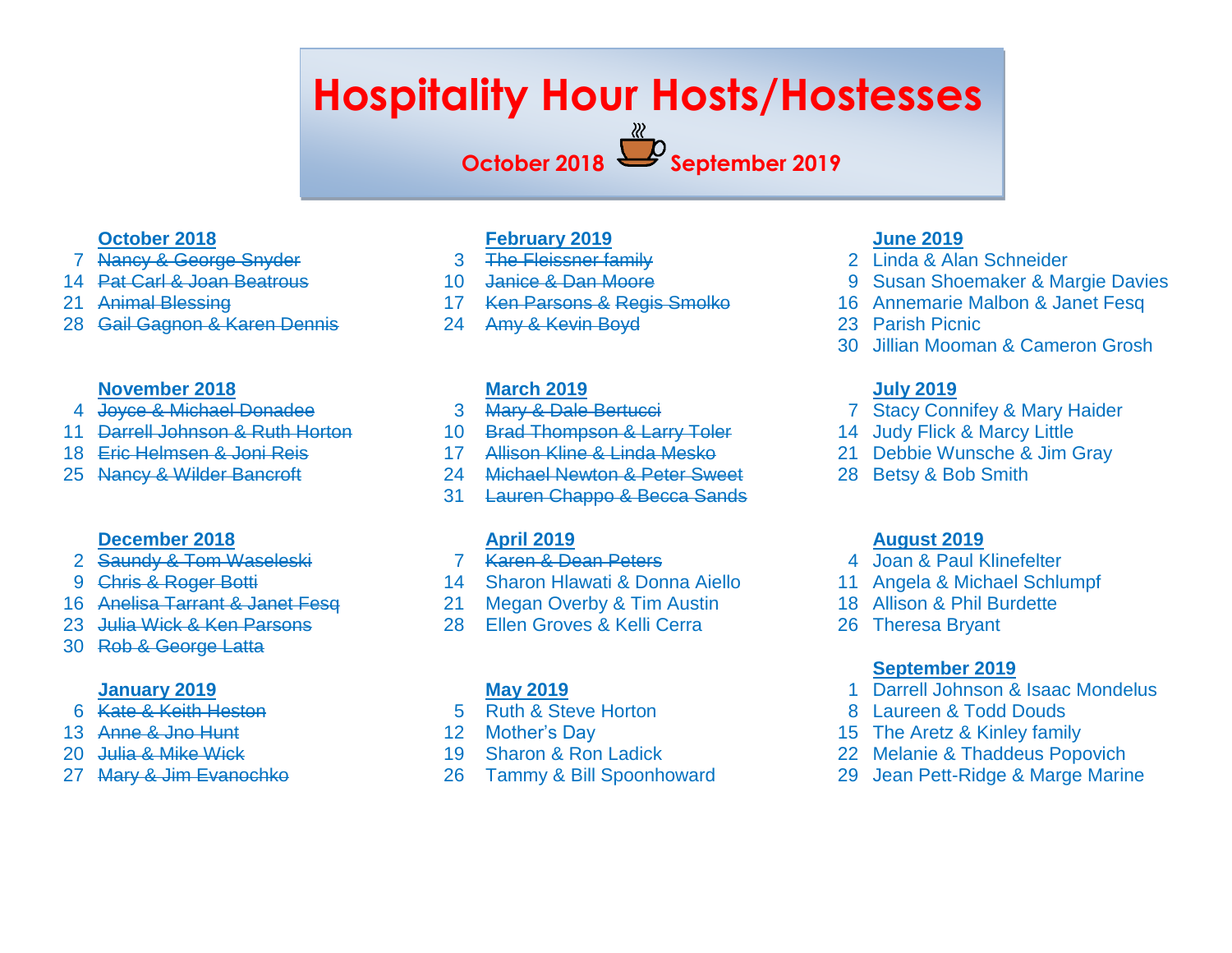# **Hospitality Hour Hosts/Hostesses**

**October 2018 September 2019**

# **October 2018**

- Nancy & George Snyder
- 14 Pat Carl & Joan Beatrous
- Animal Blessing
- Gail Gagnon & Karen Dennis

### **November 2018**

- Joyce & Michael Donadee
- Darrell Johnson & Ruth Horton
- Eric Helmsen & Joni Reis
- Nancy & Wilder Bancroft

# **December 2018**

- Saundy & Tom Waseleski
- 9 Chris & Roger Botti
- 16 Anelisa Tarrant & Janet Fesg
- Julia Wick & Ken Parsons
- Rob & George Latta

# **January 2019**

- Kate & Keith Heston
- Anne & Jno Hunt
- Julia & Mike Wick
- Mary & Jim Evanochko

# **February 2019**

- 3 The Fleissner family
- Janice & Dan Moore
- 17 Ken Parsons & Regis Smolko
- Amy & Kevin Boyd

# **March 2019**

- Mary & Dale Bertucci
- Brad Thompson & Larry Toler
- Allison Kline & Linda Mesko
- 24 Michael Newton & Peter Sweet
- Lauren Chappo & Becca Sands

# **April 2019**

- Karen & Dean Peters
- Sharon Hlawati & Donna Aiello
- Megan Overby & Tim Austin
- Ellen Groves & Kelli Cerra

# **May 2019**

- Ruth & Steve Horton
- Mother's Day
- Sharon & Ron Ladick
- Tammy & Bill Spoonhoward

# **June 2019**

- Linda & Alan Schneider
- Susan Shoemaker & Margie Davies
- Annemarie Malbon & Janet Fesq
- Parish Picnic
- Jillian Mooman & Cameron Grosh

# **July 2019**

- Stacy Connifey & Mary Haider
- Judy Flick & Marcy Little
- Debbie Wunsche & Jim Gray
- Betsy & Bob Smith

# **August 2019**

- 4 Joan & Paul Klinefelter
- Angela & Michael Schlumpf
- Allison & Phil Burdette
- Theresa Bryant

# **September 2019**

- Darrell Johnson & Isaac Mondelus
- Laureen & Todd Douds
- The Aretz & Kinley family
- Melanie & Thaddeus Popovich
- Jean Pett-Ridge & Marge Marine